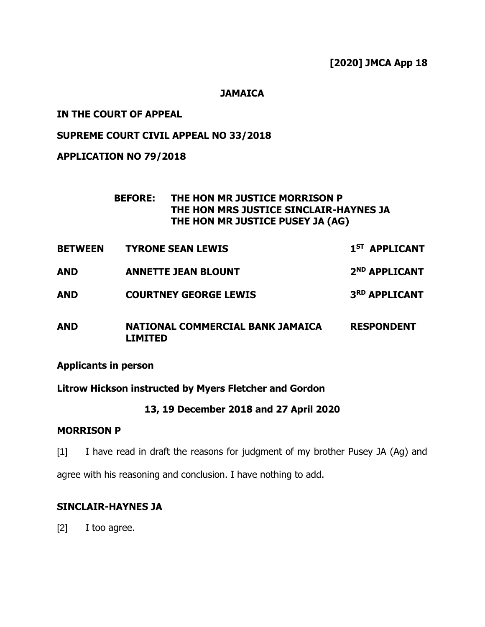# **[2020] JMCA App 18**

#### **JAMAICA**

## **IN THE COURT OF APPEAL**

# **SUPREME COURT CIVIL APPEAL NO 33/2018**

# **APPLICATION NO 79/2018**

## **BEFORE: THE HON MR JUSTICE MORRISON P THE HON MRS JUSTICE SINCLAIR-HAYNES JA THE HON MR JUSTICE PUSEY JA (AG)**

- **BETWEEN TYRONE SEAN LEWIS 1 ST APPLICANT**
- **AND ANNETTE JEAN BLOUNT 2 ND APPLICANT**
- **AND COURTNEY GEORGE LEWIS 3 RD APPLICANT**
- **AND NATIONAL COMMERCIAL BANK JAMAICA LIMITED RESPONDENT**

#### **Applicants in person**

## **Litrow Hickson instructed by Myers Fletcher and Gordon**

## **13, 19 December 2018 and 27 April 2020**

#### **MORRISON P**

[1] I have read in draft the reasons for judgment of my brother Pusey JA (Ag) and

agree with his reasoning and conclusion. I have nothing to add.

## **SINCLAIR-HAYNES JA**

[2] I too agree.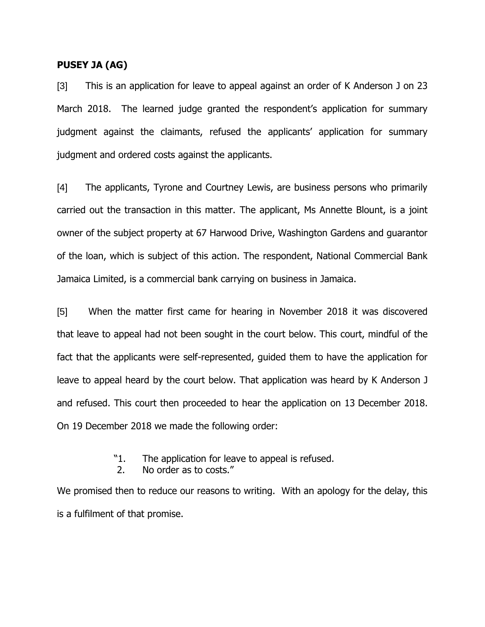### **PUSEY JA (AG)**

[3] This is an application for leave to appeal against an order of K Anderson J on 23 March 2018. The learned judge granted the respondent's application for summary judgment against the claimants, refused the applicants' application for summary judgment and ordered costs against the applicants.

[4] The applicants, Tyrone and Courtney Lewis, are business persons who primarily carried out the transaction in this matter. The applicant, Ms Annette Blount, is a joint owner of the subject property at 67 Harwood Drive, Washington Gardens and guarantor of the loan, which is subject of this action. The respondent, National Commercial Bank Jamaica Limited, is a commercial bank carrying on business in Jamaica.

[5] When the matter first came for hearing in November 2018 it was discovered that leave to appeal had not been sought in the court below. This court, mindful of the fact that the applicants were self-represented, guided them to have the application for leave to appeal heard by the court below. That application was heard by K Anderson J and refused. This court then proceeded to hear the application on 13 December 2018. On 19 December 2018 we made the following order:

- "1. The application for leave to appeal is refused.
- 2. No order as to costs."

We promised then to reduce our reasons to writing. With an apology for the delay, this is a fulfilment of that promise.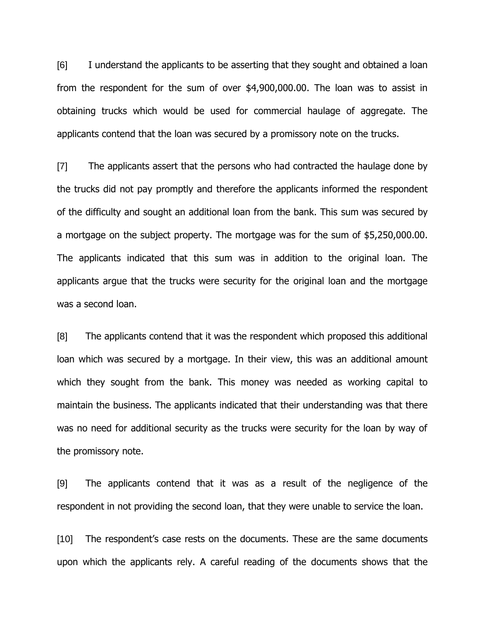[6] I understand the applicants to be asserting that they sought and obtained a loan from the respondent for the sum of over \$4,900,000.00. The loan was to assist in obtaining trucks which would be used for commercial haulage of aggregate. The applicants contend that the loan was secured by a promissory note on the trucks.

[7] The applicants assert that the persons who had contracted the haulage done by the trucks did not pay promptly and therefore the applicants informed the respondent of the difficulty and sought an additional loan from the bank. This sum was secured by a mortgage on the subject property. The mortgage was for the sum of \$5,250,000.00. The applicants indicated that this sum was in addition to the original loan. The applicants argue that the trucks were security for the original loan and the mortgage was a second loan.

[8] The applicants contend that it was the respondent which proposed this additional loan which was secured by a mortgage. In their view, this was an additional amount which they sought from the bank. This money was needed as working capital to maintain the business. The applicants indicated that their understanding was that there was no need for additional security as the trucks were security for the loan by way of the promissory note.

[9] The applicants contend that it was as a result of the negligence of the respondent in not providing the second loan, that they were unable to service the loan.

[10] The respondent's case rests on the documents. These are the same documents upon which the applicants rely. A careful reading of the documents shows that the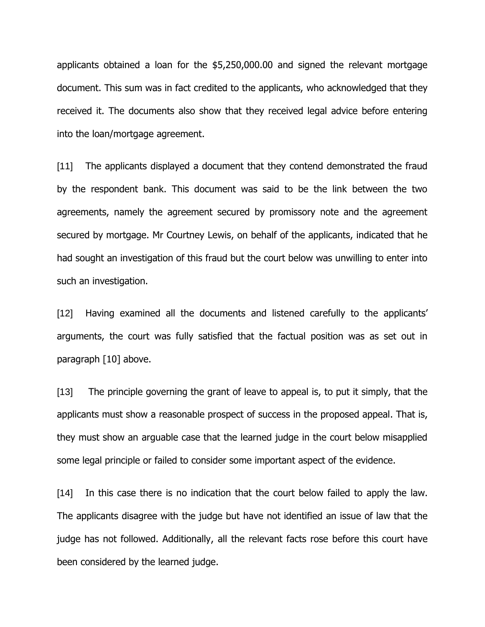applicants obtained a loan for the \$5,250,000.00 and signed the relevant mortgage document. This sum was in fact credited to the applicants, who acknowledged that they received it. The documents also show that they received legal advice before entering into the loan/mortgage agreement.

[11] The applicants displayed a document that they contend demonstrated the fraud by the respondent bank. This document was said to be the link between the two agreements, namely the agreement secured by promissory note and the agreement secured by mortgage. Mr Courtney Lewis, on behalf of the applicants, indicated that he had sought an investigation of this fraud but the court below was unwilling to enter into such an investigation.

[12] Having examined all the documents and listened carefully to the applicants' arguments, the court was fully satisfied that the factual position was as set out in paragraph [10] above.

[13] The principle governing the grant of leave to appeal is, to put it simply, that the applicants must show a reasonable prospect of success in the proposed appeal. That is, they must show an arguable case that the learned judge in the court below misapplied some legal principle or failed to consider some important aspect of the evidence.

[14] In this case there is no indication that the court below failed to apply the law. The applicants disagree with the judge but have not identified an issue of law that the judge has not followed. Additionally, all the relevant facts rose before this court have been considered by the learned judge.